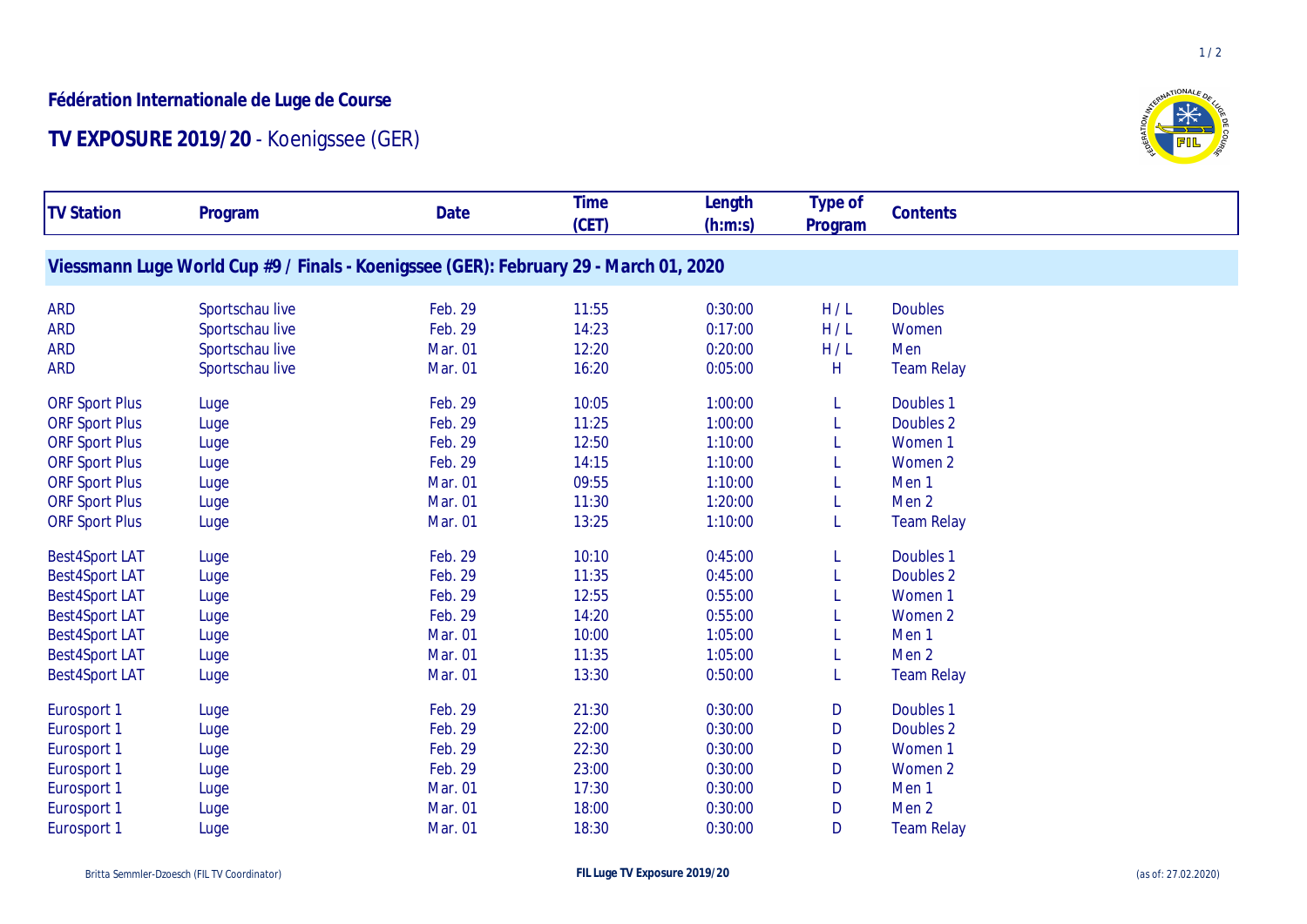## **Fédération Internationale de Luge de Course**

## **TV EXPOSURE 2019/20** - Koenigssee (GER)



 $1/2$ 

| <b>TV Station</b>     | Program                                                                               | Date    | <b>Time</b><br>(CET) | Length<br>(h:m:s) | Type of<br>Program | Contents          |  |
|-----------------------|---------------------------------------------------------------------------------------|---------|----------------------|-------------------|--------------------|-------------------|--|
|                       | Viessmann Luge World Cup #9 / Finals - Koenigssee (GER): February 29 - March 01, 2020 |         |                      |                   |                    |                   |  |
| <b>ARD</b>            | Sportschau live                                                                       | Feb. 29 | 11:55                | 0:30:00           | H/L                | <b>Doubles</b>    |  |
| <b>ARD</b>            | Sportschau live                                                                       | Feb. 29 | 14:23                | 0:17:00           | H/L                | Women             |  |
| <b>ARD</b>            | Sportschau live                                                                       | Mar. 01 | 12:20                | 0:20:00           | H/L                | Men               |  |
| <b>ARD</b>            | Sportschau live                                                                       | Mar. 01 | 16:20                | 0:05:00           | H                  | <b>Team Relay</b> |  |
| <b>ORF Sport Plus</b> | Luge                                                                                  | Feb. 29 | 10:05                | 1:00:00           | L.                 | Doubles 1         |  |
| <b>ORF Sport Plus</b> | Luge                                                                                  | Feb. 29 | 11:25                | 1:00:00           |                    | Doubles 2         |  |
| <b>ORF Sport Plus</b> | Luge                                                                                  | Feb. 29 | 12:50                | 1:10:00           |                    | Women 1           |  |
| <b>ORF Sport Plus</b> | Luge                                                                                  | Feb. 29 | 14:15                | 1:10:00           |                    | Women 2           |  |
| <b>ORF Sport Plus</b> | Luge                                                                                  | Mar. 01 | 09:55                | 1:10:00           |                    | Men <sub>1</sub>  |  |
| <b>ORF Sport Plus</b> | Luge                                                                                  | Mar. 01 | 11:30                | 1:20:00           |                    | Men <sub>2</sub>  |  |
| <b>ORF Sport Plus</b> | Luge                                                                                  | Mar. 01 | 13:25                | 1:10:00           |                    | <b>Team Relay</b> |  |
| <b>Best4Sport LAT</b> | Luge                                                                                  | Feb. 29 | 10:10                | 0:45:00           |                    | Doubles 1         |  |
| <b>Best4Sport LAT</b> | Luge                                                                                  | Feb. 29 | 11:35                | 0:45:00           |                    | Doubles 2         |  |
| <b>Best4Sport LAT</b> | Luge                                                                                  | Feb. 29 | 12:55                | 0:55:00           |                    | Women 1           |  |
| <b>Best4Sport LAT</b> | Luge                                                                                  | Feb. 29 | 14:20                | 0:55:00           |                    | Women 2           |  |
| <b>Best4Sport LAT</b> | Luge                                                                                  | Mar. 01 | 10:00                | 1:05:00           |                    | Men 1             |  |
| <b>Best4Sport LAT</b> | Luge                                                                                  | Mar. 01 | 11:35                | 1:05:00           |                    | Men <sub>2</sub>  |  |
| <b>Best4Sport LAT</b> | Luge                                                                                  | Mar. 01 | 13:30                | 0:50:00           |                    | <b>Team Relay</b> |  |
| Eurosport 1           | Luge                                                                                  | Feb. 29 | 21:30                | 0:30:00           | D                  | Doubles 1         |  |
| Eurosport 1           | Luge                                                                                  | Feb. 29 | 22:00                | 0:30:00           | D                  | Doubles 2         |  |
| Eurosport 1           | Luge                                                                                  | Feb. 29 | 22:30                | 0:30:00           | D                  | Women 1           |  |
| Eurosport 1           | Luge                                                                                  | Feb. 29 | 23:00                | 0:30:00           | D                  | Women 2           |  |
| Eurosport 1           | Luge                                                                                  | Mar. 01 | 17:30                | 0:30:00           | D                  | Men <sub>1</sub>  |  |
| Eurosport 1           | Luge                                                                                  | Mar. 01 | 18:00                | 0:30:00           | D                  | Men <sub>2</sub>  |  |
| Eurosport 1           | Luge                                                                                  | Mar. 01 | 18:30                | 0:30:00           | D                  | <b>Team Relay</b> |  |